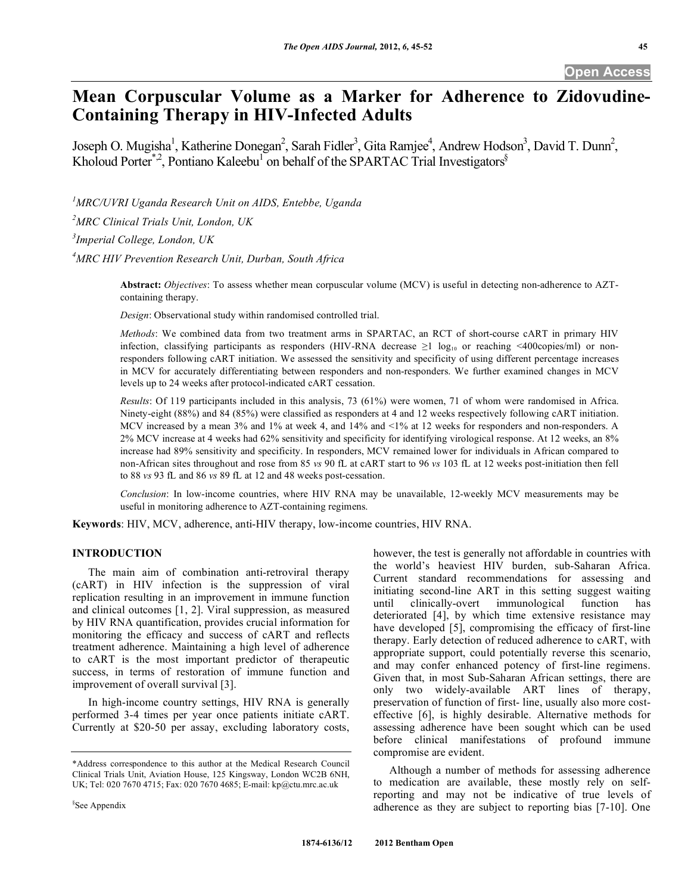# **Mean Corpuscular Volume as a Marker for Adherence to Zidovudine-Containing Therapy in HIV-Infected Adults**

Joseph O. Mugisha<sup>1</sup>, Katherine Donegan<sup>2</sup>, Sarah Fidler<sup>3</sup>, Gita Ramjee<sup>4</sup>, Andrew Hodson<sup>3</sup>, David T. Dunn<sup>2</sup>, Kholoud Porter<sup>\*,2</sup>, Pontiano Kaleebu<sup>1</sup> on behalf of the SPARTAC Trial Investigators<sup>§</sup>

*1 MRC/UVRI Uganda Research Unit on AIDS, Entebbe, Uganda* 

*2 MRC Clinical Trials Unit, London, UK* 

*3 Imperial College, London, UK* 

*4 MRC HIV Prevention Research Unit, Durban, South Africa* 

**Abstract:** *Objectives*: To assess whether mean corpuscular volume (MCV) is useful in detecting non-adherence to AZTcontaining therapy.

*Design*: Observational study within randomised controlled trial.

*Methods*: We combined data from two treatment arms in SPARTAC, an RCT of short-course cART in primary HIV infection, classifying participants as responders (HIV-RNA decrease  $\geq 1 \log_{10}$  or reaching <400copies/ml) or nonresponders following cART initiation. We assessed the sensitivity and specificity of using different percentage increases in MCV for accurately differentiating between responders and non-responders. We further examined changes in MCV levels up to 24 weeks after protocol-indicated cART cessation.

*Results*: Of 119 participants included in this analysis, 73 (61%) were women, 71 of whom were randomised in Africa. Ninety-eight (88%) and 84 (85%) were classified as responders at 4 and 12 weeks respectively following cART initiation. MCV increased by a mean 3% and 1% at week 4, and 14% and <1% at 12 weeks for responders and non-responders. A 2% MCV increase at 4 weeks had 62% sensitivity and specificity for identifying virological response. At 12 weeks, an 8% increase had 89% sensitivity and specificity. In responders, MCV remained lower for individuals in African compared to non-African sites throughout and rose from 85 *vs* 90 fL at cART start to 96 *vs* 103 fL at 12 weeks post-initiation then fell to 88 *vs* 93 fL and 86 *vs* 89 fL at 12 and 48 weeks post-cessation.

*Conclusion*: In low-income countries, where HIV RNA may be unavailable, 12-weekly MCV measurements may be useful in monitoring adherence to AZT-containing regimens.

**Keywords**: HIV, MCV, adherence, anti-HIV therapy, low-income countries, HIV RNA.

# **INTRODUCTION**

 The main aim of combination anti-retroviral therapy (cART) in HIV infection is the suppression of viral replication resulting in an improvement in immune function and clinical outcomes [1, 2]. Viral suppression, as measured by HIV RNA quantification, provides crucial information for monitoring the efficacy and success of cART and reflects treatment adherence. Maintaining a high level of adherence to cART is the most important predictor of therapeutic success, in terms of restoration of immune function and improvement of overall survival [3].

 In high-income country settings, HIV RNA is generally performed 3-4 times per year once patients initiate cART. Currently at \$20-50 per assay, excluding laboratory costs, Current standard recommendations for assessing and initiating second-line ART in this setting suggest waiting until clinically-overt immunological function has deteriorated [4], by which time extensive resistance may have developed [5], compromising the efficacy of first-line therapy. Early detection of reduced adherence to cART, with appropriate support, could potentially reverse this scenario, and may confer enhanced potency of first-line regimens. Given that, in most Sub-Saharan African settings, there are only two widely-available ART lines of therapy, preservation of function of first- line, usually also more costeffective [6], is highly desirable. Alternative methods for assessing adherence have been sought which can be used before clinical manifestations of profound immune compromise are evident.

however, the test is generally not affordable in countries with the world's heaviest HIV burden, sub-Saharan Africa.

 Although a number of methods for assessing adherence to medication are available, these mostly rely on selfreporting and may not be indicative of true levels of adherence as they are subject to reporting bias [7-10]. One

<sup>\*</sup>Address correspondence to this author at the Medical Research Council Clinical Trials Unit, Aviation House, 125 Kingsway, London WC2B 6NH, UK; Tel: 020 7670 4715; Fax: 020 7670 4685; E-mail: kp@ctu.mrc.ac.uk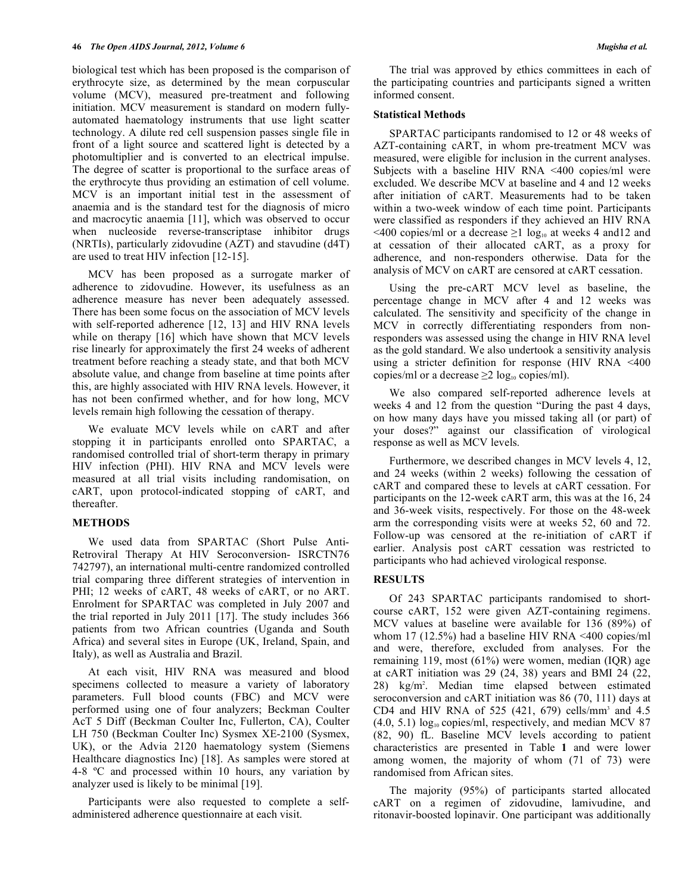biological test which has been proposed is the comparison of erythrocyte size, as determined by the mean corpuscular volume (MCV), measured pre-treatment and following initiation. MCV measurement is standard on modern fullyautomated haematology instruments that use light scatter technology. A dilute red cell suspension passes single file in front of a light source and scattered light is detected by a photomultiplier and is converted to an electrical impulse. The degree of scatter is proportional to the surface areas of the erythrocyte thus providing an estimation of cell volume. MCV is an important initial test in the assessment of anaemia and is the standard test for the diagnosis of micro and macrocytic anaemia [11], which was observed to occur when nucleoside reverse-transcriptase inhibitor drugs (NRTIs), particularly zidovudine (AZT) and stavudine (d4T) are used to treat HIV infection [12-15].

 MCV has been proposed as a surrogate marker of adherence to zidovudine. However, its usefulness as an adherence measure has never been adequately assessed. There has been some focus on the association of MCV levels with self-reported adherence [12, 13] and HIV RNA levels while on therapy [16] which have shown that MCV levels rise linearly for approximately the first 24 weeks of adherent treatment before reaching a steady state, and that both MCV absolute value, and change from baseline at time points after this, are highly associated with HIV RNA levels. However, it has not been confirmed whether, and for how long, MCV levels remain high following the cessation of therapy.

 We evaluate MCV levels while on cART and after stopping it in participants enrolled onto SPARTAC, a randomised controlled trial of short-term therapy in primary HIV infection (PHI). HIV RNA and MCV levels were measured at all trial visits including randomisation, on cART, upon protocol-indicated stopping of cART, and thereafter.

# **METHODS**

 We used data from SPARTAC (Short Pulse Anti-Retroviral Therapy At HIV Seroconversion- ISRCTN76 742797), an international multi-centre randomized controlled trial comparing three different strategies of intervention in PHI; 12 weeks of cART, 48 weeks of cART, or no ART. Enrolment for SPARTAC was completed in July 2007 and the trial reported in July 2011 [17]. The study includes 366 patients from two African countries (Uganda and South Africa) and several sites in Europe (UK, Ireland, Spain, and Italy), as well as Australia and Brazil.

 At each visit, HIV RNA was measured and blood specimens collected to measure a variety of laboratory parameters. Full blood counts (FBC) and MCV were performed using one of four analyzers; Beckman Coulter AcT 5 Diff (Beckman Coulter Inc, Fullerton, CA), Coulter LH 750 (Beckman Coulter Inc) Sysmex XE-2100 (Sysmex, UK), or the Advia 2120 haematology system (Siemens Healthcare diagnostics Inc) [18]. As samples were stored at 4-8 ºC and processed within 10 hours, any variation by analyzer used is likely to be minimal [19].

 Participants were also requested to complete a selfadministered adherence questionnaire at each visit.

 The trial was approved by ethics committees in each of the participating countries and participants signed a written informed consent.

#### **Statistical Methods**

 SPARTAC participants randomised to 12 or 48 weeks of AZT-containing cART, in whom pre-treatment MCV was measured, were eligible for inclusion in the current analyses. Subjects with a baseline HIV RNA <400 copies/ml were excluded. We describe MCV at baseline and 4 and 12 weeks after initiation of cART. Measurements had to be taken within a two-week window of each time point. Participants were classified as responders if they achieved an HIV RNA  $\leq$ 400 copies/ml or a decrease  $\geq$ 1 log<sub>10</sub> at weeks 4 and12 and at cessation of their allocated cART, as a proxy for adherence, and non-responders otherwise. Data for the analysis of MCV on cART are censored at cART cessation.

 Using the pre-cART MCV level as baseline, the percentage change in MCV after 4 and 12 weeks was calculated. The sensitivity and specificity of the change in MCV in correctly differentiating responders from nonresponders was assessed using the change in HIV RNA level as the gold standard. We also undertook a sensitivity analysis using a stricter definition for response (HIV RNA <400 copies/ml or a decrease  $\geq 2 \log_{10} \text{copies/ml}$ .

 We also compared self-reported adherence levels at weeks 4 and 12 from the question "During the past 4 days, on how many days have you missed taking all (or part) of your doses?" against our classification of virological response as well as MCV levels.

 Furthermore, we described changes in MCV levels 4, 12, and 24 weeks (within 2 weeks) following the cessation of cART and compared these to levels at cART cessation. For participants on the 12-week cART arm, this was at the 16, 24 and 36-week visits, respectively. For those on the 48-week arm the corresponding visits were at weeks 52, 60 and 72. Follow-up was censored at the re-initiation of cART if earlier. Analysis post cART cessation was restricted to participants who had achieved virological response.

## **RESULTS**

 Of 243 SPARTAC participants randomised to shortcourse cART, 152 were given AZT-containing regimens. MCV values at baseline were available for 136 (89%) of whom 17 (12.5%) had a baseline HIV RNA <400 copies/ml and were, therefore, excluded from analyses. For the remaining 119, most (61%) were women, median (IQR) age at cART initiation was 29 (24, 38) years and BMI 24 (22, 28) kg/m2 . Median time elapsed between estimated seroconversion and cART initiation was 86 (70, 111) days at CD4 and HIV RNA of 525  $(421, 679)$  cells/mm<sup>3</sup> and 4.5  $(4.0, 5.1)$  log<sub>10</sub> copies/ml, respectively, and median MCV 87 (82, 90) fL. Baseline MCV levels according to patient characteristics are presented in Table **1** and were lower among women, the majority of whom (71 of 73) were randomised from African sites.

 The majority (95%) of participants started allocated cART on a regimen of zidovudine, lamivudine, and ritonavir-boosted lopinavir. One participant was additionally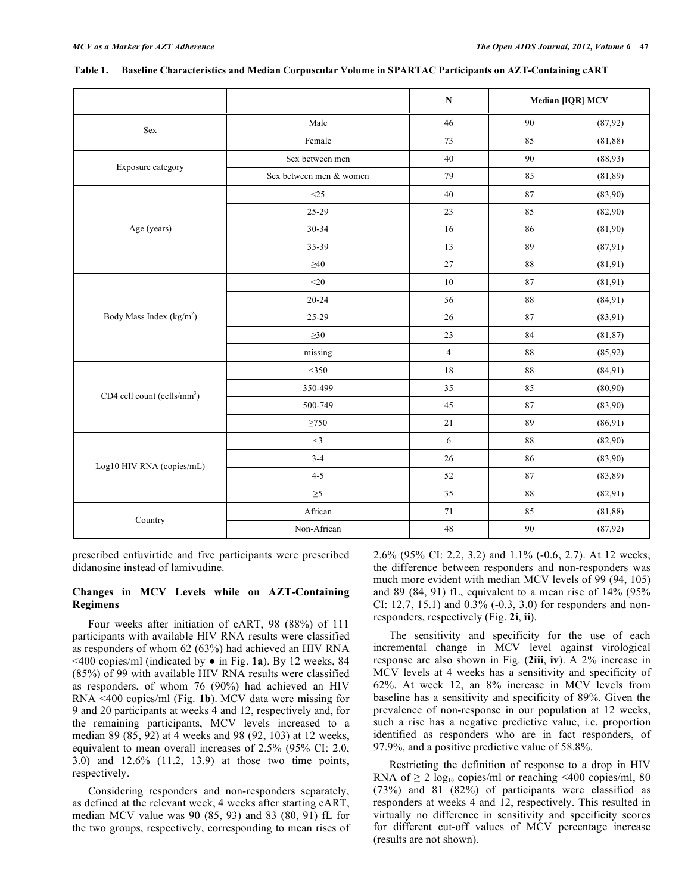|                                         |                         | ${\bf N}$      | <b>Median [IQR] MCV</b> |          |
|-----------------------------------------|-------------------------|----------------|-------------------------|----------|
| Sex                                     | Male                    | 46             | 90                      | (87,92)  |
|                                         | Female                  | 73             | 85                      | (81, 88) |
| Exposure category                       | Sex between men         | $40\,$         | 90                      | (88,93)  |
|                                         | Sex between men & women | 79             | 85                      | (81, 89) |
|                                         | <25                     | 40             | 87                      | (83,90)  |
| Age (years)                             | 25-29                   | 23             | 85                      | (82,90)  |
|                                         | 30-34                   | 16             | 86                      | (81,90)  |
|                                         | 35-39                   | 13             | 89                      | (87,91)  |
|                                         | ${\geq}40$              | $27\,$         | $\bf 88$                | (81, 91) |
| Body Mass Index (kg/m <sup>2</sup> )    | $<$ 20                  | $10\,$         | 87                      | (81, 91) |
|                                         | $20 - 24$               | 56             | $\bf 88$                | (84, 91) |
|                                         | 25-29                   | 26             | 87                      | (83,91)  |
|                                         | $\geq 30$               | 23             | 84                      | (81, 87) |
|                                         | missing                 | $\overline{4}$ | $88\,$                  | (85, 92) |
| CD4 cell count (cells/mm <sup>3</sup> ) | $<$ 350                 | 18             | 88                      | (84,91)  |
|                                         | 350-499                 | 35             | 85                      | (80,90)  |
|                                         | 500-749                 | 45             | 87                      | (83,90)  |
|                                         | $\geq 750$              | 21             | 89                      | (86,91)  |
| Log10 HIV RNA (copies/mL)               | $<$ 3                   | $\sqrt{6}$     | 88                      | (82,90)  |
|                                         | $3-4$                   | $26\,$         | 86                      | (83,90)  |
|                                         | $4 - 5$                 | 52             | $\bf 87$                | (83, 89) |
|                                         | $\geq 5$                | 35             | $\bf 88$                | (82, 91) |
|                                         | African                 | 71             | 85                      | (81, 88) |
| Country                                 | Non-African             | $48\,$         | 90                      | (87, 92) |

| Table 1. Baseline Characteristics and Median Corpuscular Volume in SPARTAC Participants on AZT-Containing cART |  |  |  |  |  |
|----------------------------------------------------------------------------------------------------------------|--|--|--|--|--|
|----------------------------------------------------------------------------------------------------------------|--|--|--|--|--|

prescribed enfuvirtide and five participants were prescribed didanosine instead of lamivudine.

## **Changes in MCV Levels while on AZT-Containing Regimens**

 Four weeks after initiation of cART, 98 (88%) of 111 participants with available HIV RNA results were classified as responders of whom 62 (63%) had achieved an HIV RNA  $\leq$ 400 copies/ml (indicated by  $\bullet$  in Fig. **1a**). By 12 weeks, 84 (85%) of 99 with available HIV RNA results were classified as responders, of whom 76 (90%) had achieved an HIV RNA <400 copies/ml (Fig. **1b**). MCV data were missing for 9 and 20 participants at weeks 4 and 12, respectively and, for the remaining participants, MCV levels increased to a median 89 (85, 92) at 4 weeks and 98 (92, 103) at 12 weeks, equivalent to mean overall increases of 2.5% (95% CI: 2.0, 3.0) and 12.6% (11.2, 13.9) at those two time points, respectively.

 Considering responders and non-responders separately, as defined at the relevant week, 4 weeks after starting cART, median MCV value was 90 (85, 93) and 83 (80, 91) fL for the two groups, respectively, corresponding to mean rises of 2.6% (95% CI: 2.2, 3.2) and 1.1% (-0.6, 2.7). At 12 weeks, the difference between responders and non-responders was much more evident with median MCV levels of 99 (94, 105) and 89 (84, 91) fL, equivalent to a mean rise of 14% (95% CI: 12.7, 15.1) and 0.3% (-0.3, 3.0) for responders and nonresponders, respectively (Fig. **2i**, **ii**).

 The sensitivity and specificity for the use of each incremental change in MCV level against virological response are also shown in Fig. (**2iii**, **iv**). A 2% increase in MCV levels at 4 weeks has a sensitivity and specificity of 62%. At week 12, an 8% increase in MCV levels from baseline has a sensitivity and specificity of 89%. Given the prevalence of non-response in our population at 12 weeks, such a rise has a negative predictive value, i.e. proportion identified as responders who are in fact responders, of 97.9%, and a positive predictive value of 58.8%.

 Restricting the definition of response to a drop in HIV RNA of  $\geq 2 \log_{10} \text{ copies/ml}$  or reaching <400 copies/ml, 80 (73%) and 81 (82%) of participants were classified as responders at weeks 4 and 12, respectively. This resulted in virtually no difference in sensitivity and specificity scores for different cut-off values of MCV percentage increase (results are not shown).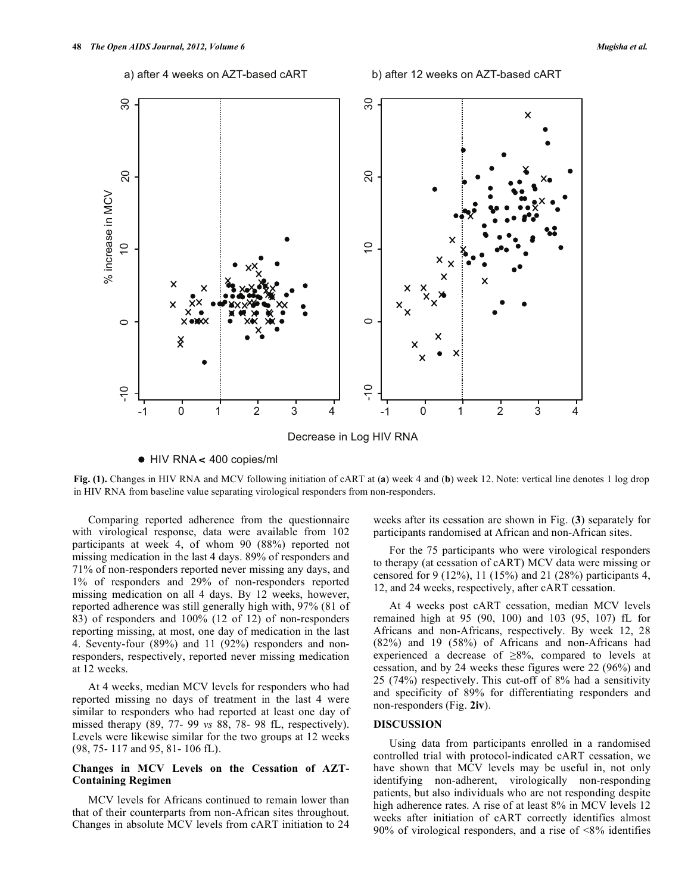

HIV RNA < 400 copies/ml

**Fig. (1).** Changes in HIV RNA and MCV following initiation of cART at (**a**) week 4 and (**b**) week 12. Note: vertical line denotes 1 log drop in HIV RNA from baseline value separating virological responders from non-responders.

 Comparing reported adherence from the questionnaire with virological response, data were available from 102 participants at week 4, of whom 90 (88%) reported not missing medication in the last 4 days. 89% of responders and 71% of non-responders reported never missing any days, and 1% of responders and 29% of non-responders reported missing medication on all 4 days. By 12 weeks, however, reported adherence was still generally high with, 97% (81 of 83) of responders and 100% (12 of 12) of non-responders reporting missing, at most, one day of medication in the last 4. Seventy-four (89%) and 11 (92%) responders and nonresponders, respectively, reported never missing medication at 12 weeks.

 At 4 weeks, median MCV levels for responders who had reported missing no days of treatment in the last 4 were similar to responders who had reported at least one day of missed therapy (89, 77- 99 *vs* 88, 78- 98 fL, respectively). Levels were likewise similar for the two groups at 12 weeks (98, 75- 117 and 95, 81- 106 fL).

## **Changes in MCV Levels on the Cessation of AZT-Containing Regimen**

 MCV levels for Africans continued to remain lower than that of their counterparts from non-African sites throughout. Changes in absolute MCV levels from cART initiation to 24 weeks after its cessation are shown in Fig. (**3**) separately for participants randomised at African and non-African sites.

 For the 75 participants who were virological responders to therapy (at cessation of cART) MCV data were missing or censored for 9 (12%), 11 (15%) and 21 (28%) participants 4, 12, and 24 weeks, respectively, after cART cessation.

 At 4 weeks post cART cessation, median MCV levels remained high at 95 (90, 100) and 103 (95, 107) fL for Africans and non-Africans, respectively. By week 12, 28 (82%) and 19 (58%) of Africans and non-Africans had experienced a decrease of  $\geq 8\%$ , compared to levels at cessation, and by 24 weeks these figures were 22 (96%) and 25 (74%) respectively. This cut-off of 8% had a sensitivity and specificity of 89% for differentiating responders and non-responders (Fig. **2iv**).

#### **DISCUSSION**

 Using data from participants enrolled in a randomised controlled trial with protocol-indicated cART cessation, we have shown that MCV levels may be useful in, not only identifying non-adherent, virologically non-responding patients, but also individuals who are not responding despite high adherence rates. A rise of at least 8% in MCV levels 12 weeks after initiation of cART correctly identifies almost 90% of virological responders, and a rise of <8% identifies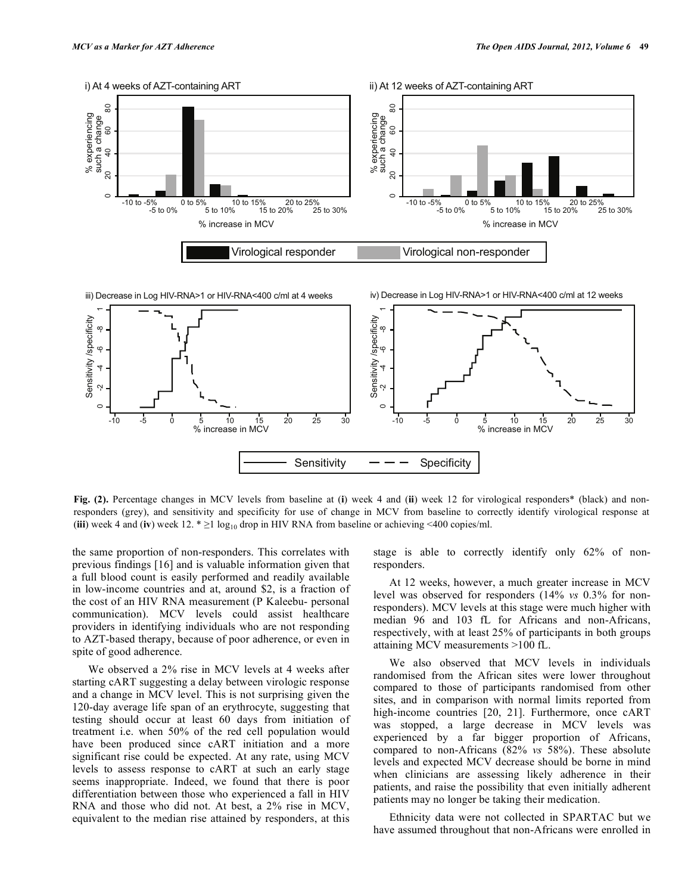

**Fig. (2).** Percentage changes in MCV levels from baseline at (**i**) week 4 and (**ii**) week 12 for virological responders\* (black) and nonresponders (grey), and sensitivity and specificity for use of change in MCV from baseline to correctly identify virological response at (**iii**) week 4 and (**iv**) week 12.  $* \ge 1 \log_{10}$  drop in HIV RNA from baseline or achieving <400 copies/ml.

the same proportion of non-responders. This correlates with previous findings [16] and is valuable information given that a full blood count is easily performed and readily available in low-income countries and at, around \$2, is a fraction of the cost of an HIV RNA measurement (P Kaleebu- personal communication). MCV levels could assist healthcare providers in identifying individuals who are not responding to AZT-based therapy, because of poor adherence, or even in spite of good adherence.

 We observed a 2% rise in MCV levels at 4 weeks after starting cART suggesting a delay between virologic response and a change in MCV level. This is not surprising given the 120-day average life span of an erythrocyte, suggesting that testing should occur at least 60 days from initiation of treatment i.e. when 50% of the red cell population would have been produced since cART initiation and a more significant rise could be expected. At any rate, using MCV levels to assess response to cART at such an early stage seems inappropriate. Indeed, we found that there is poor differentiation between those who experienced a fall in HIV RNA and those who did not. At best, a 2% rise in MCV, equivalent to the median rise attained by responders, at this

stage is able to correctly identify only 62% of nonresponders.

 At 12 weeks, however, a much greater increase in MCV level was observed for responders (14% *vs* 0.3% for nonresponders). MCV levels at this stage were much higher with median 96 and 103 fL for Africans and non-Africans, respectively, with at least 25% of participants in both groups attaining MCV measurements >100 fL.

 We also observed that MCV levels in individuals randomised from the African sites were lower throughout compared to those of participants randomised from other sites, and in comparison with normal limits reported from high-income countries [20, 21]. Furthermore, once cART was stopped, a large decrease in MCV levels was experienced by a far bigger proportion of Africans, compared to non-Africans (82% *vs* 58%). These absolute levels and expected MCV decrease should be borne in mind when clinicians are assessing likely adherence in their patients, and raise the possibility that even initially adherent patients may no longer be taking their medication.

 Ethnicity data were not collected in SPARTAC but we have assumed throughout that non-Africans were enrolled in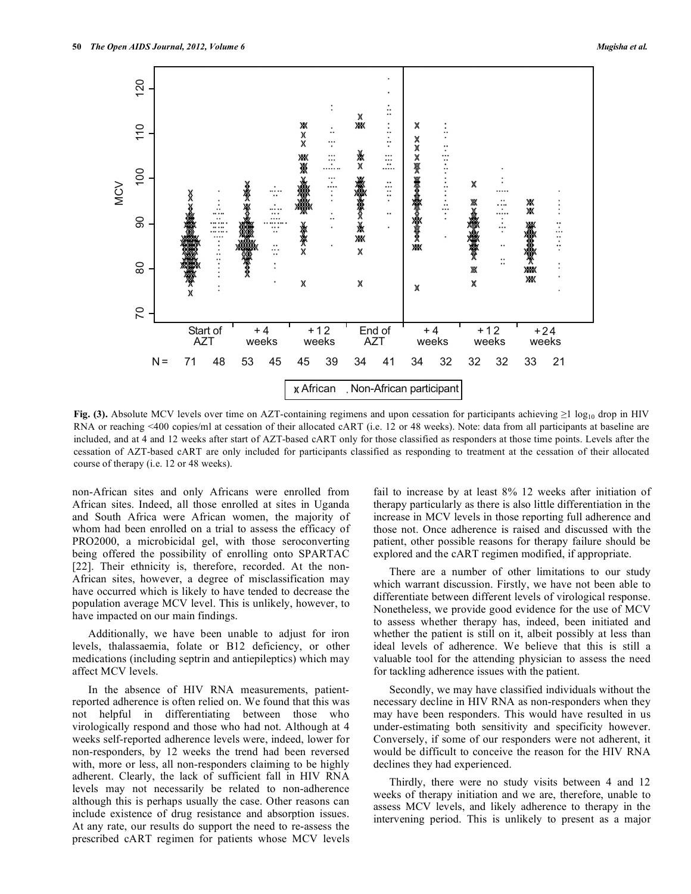

**Fig. (3).** Absolute MCV levels over time on AZT-containing regimens and upon cessation for participants achieving  $\geq 1 \log_{10}$  drop in HIV RNA or reaching <400 copies/ml at cessation of their allocated cART (i.e. 12 or 48 weeks). Note: data from all participants at baseline are included, and at 4 and 12 weeks after start of AZT-based cART only for those classified as responders at those time points. Levels after the cessation of AZT-based cART are only included for participants classified as responding to treatment at the cessation of their allocated course of therapy (i.e. 12 or 48 weeks).

non-African sites and only Africans were enrolled from African sites. Indeed, all those enrolled at sites in Uganda and South Africa were African women, the majority of whom had been enrolled on a trial to assess the efficacy of PRO2000, a microbicidal gel, with those seroconverting being offered the possibility of enrolling onto SPARTAC [22]. Their ethnicity is, therefore, recorded. At the non-African sites, however, a degree of misclassification may have occurred which is likely to have tended to decrease the population average MCV level. This is unlikely, however, to have impacted on our main findings.

 Additionally, we have been unable to adjust for iron levels, thalassaemia, folate or B12 deficiency, or other medications (including septrin and antiepileptics) which may affect MCV levels.

 In the absence of HIV RNA measurements, patientreported adherence is often relied on. We found that this was not helpful in differentiating between those who virologically respond and those who had not. Although at 4 weeks self-reported adherence levels were, indeed, lower for non-responders, by 12 weeks the trend had been reversed with, more or less, all non-responders claiming to be highly adherent. Clearly, the lack of sufficient fall in HIV RNA levels may not necessarily be related to non-adherence although this is perhaps usually the case. Other reasons can include existence of drug resistance and absorption issues. At any rate, our results do support the need to re-assess the prescribed cART regimen for patients whose MCV levels

fail to increase by at least 8% 12 weeks after initiation of therapy particularly as there is also little differentiation in the increase in MCV levels in those reporting full adherence and those not. Once adherence is raised and discussed with the patient, other possible reasons for therapy failure should be explored and the cART regimen modified, if appropriate.

 There are a number of other limitations to our study which warrant discussion. Firstly, we have not been able to differentiate between different levels of virological response. Nonetheless, we provide good evidence for the use of MCV to assess whether therapy has, indeed, been initiated and whether the patient is still on it, albeit possibly at less than ideal levels of adherence. We believe that this is still a valuable tool for the attending physician to assess the need for tackling adherence issues with the patient.

 Secondly, we may have classified individuals without the necessary decline in HIV RNA as non-responders when they may have been responders. This would have resulted in us under-estimating both sensitivity and specificity however. Conversely, if some of our responders were not adherent, it would be difficult to conceive the reason for the HIV RNA declines they had experienced.

 Thirdly, there were no study visits between 4 and 12 weeks of therapy initiation and we are, therefore, unable to assess MCV levels, and likely adherence to therapy in the intervening period. This is unlikely to present as a major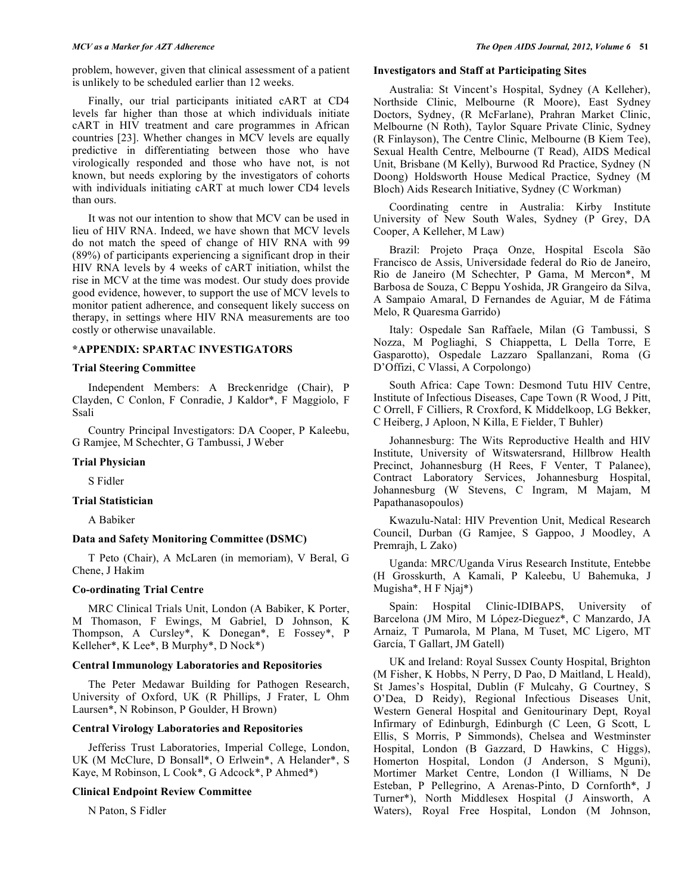problem, however, given that clinical assessment of a patient is unlikely to be scheduled earlier than 12 weeks.

 Finally, our trial participants initiated cART at CD4 levels far higher than those at which individuals initiate cART in HIV treatment and care programmes in African countries [23]. Whether changes in MCV levels are equally predictive in differentiating between those who have virologically responded and those who have not, is not known, but needs exploring by the investigators of cohorts with individuals initiating cART at much lower CD4 levels than ours.

 It was not our intention to show that MCV can be used in lieu of HIV RNA. Indeed, we have shown that MCV levels do not match the speed of change of HIV RNA with 99 (89%) of participants experiencing a significant drop in their HIV RNA levels by 4 weeks of cART initiation, whilst the rise in MCV at the time was modest. Our study does provide good evidence, however, to support the use of MCV levels to monitor patient adherence, and consequent likely success on therapy, in settings where HIV RNA measurements are too costly or otherwise unavailable.

#### **\*APPENDIX: SPARTAC INVESTIGATORS**

#### **Trial Steering Committee**

 Independent Members: A Breckenridge (Chair), P Clayden, C Conlon, F Conradie, J Kaldor\*, F Maggiolo, F Ssali

 Country Principal Investigators: DA Cooper, P Kaleebu, G Ramjee, M Schechter, G Tambussi, J Weber

#### **Trial Physician**

S Fidler

#### **Trial Statistician**

A Babiker

## **Data and Safety Monitoring Committee (DSMC)**

 T Peto (Chair), A McLaren (in memoriam), V Beral, G Chene, J Hakim

## **Co-ordinating Trial Centre**

 MRC Clinical Trials Unit, London (A Babiker, K Porter, M Thomason, F Ewings, M Gabriel, D Johnson, K Thompson, A Cursley\*, K Donegan\*, E Fossey\*, P Kelleher\*, K Lee\*, B Murphy\*, D Nock\*)

## **Central Immunology Laboratories and Repositories**

 The Peter Medawar Building for Pathogen Research, University of Oxford, UK (R Phillips, J Frater, L Ohm Laursen\*, N Robinson, P Goulder, H Brown)

## **Central Virology Laboratories and Repositories**

 Jefferiss Trust Laboratories, Imperial College, London, UK (M McClure, D Bonsall\*, O Erlwein\*, A Helander\*, S Kaye, M Robinson, L Cook\*, G Adcock\*, P Ahmed\*)

#### **Clinical Endpoint Review Committee**

N Paton, S Fidler

#### **Investigators and Staff at Participating Sites**

 Australia: St Vincent's Hospital, Sydney (A Kelleher), Northside Clinic, Melbourne (R Moore), East Sydney Doctors, Sydney, (R McFarlane), Prahran Market Clinic, Melbourne (N Roth), Taylor Square Private Clinic, Sydney (R Finlayson), The Centre Clinic, Melbourne (B Kiem Tee), Sexual Health Centre, Melbourne (T Read), AIDS Medical Unit, Brisbane (M Kelly), Burwood Rd Practice, Sydney (N Doong) Holdsworth House Medical Practice, Sydney (M Bloch) Aids Research Initiative, Sydney (C Workman)

 Coordinating centre in Australia: Kirby Institute University of New South Wales, Sydney (P Grey, DA Cooper, A Kelleher, M Law)

 Brazil: Projeto Praça Onze, Hospital Escola São Francisco de Assis, Universidade federal do Rio de Janeiro, Rio de Janeiro (M Schechter, P Gama, M Mercon\*, M Barbosa de Souza, C Beppu Yoshida, JR Grangeiro da Silva, A Sampaio Amaral, D Fernandes de Aguiar, M de Fátima Melo, R Quaresma Garrido)

 Italy: Ospedale San Raffaele, Milan (G Tambussi, S Nozza, M Pogliaghi, S Chiappetta, L Della Torre, E Gasparotto), Ospedale Lazzaro Spallanzani, Roma (G D'Offizi, C Vlassi, A Corpolongo)

 South Africa: Cape Town: Desmond Tutu HIV Centre, Institute of Infectious Diseases, Cape Town (R Wood, J Pitt, C Orrell, F Cilliers, R Croxford, K Middelkoop, LG Bekker, C Heiberg, J Aploon, N Killa, E Fielder, T Buhler)

 Johannesburg: The Wits Reproductive Health and HIV Institute, University of Witswatersrand, Hillbrow Health Precinct, Johannesburg (H Rees, F Venter, T Palanee), Contract Laboratory Services, Johannesburg Hospital, Johannesburg (W Stevens, C Ingram, M Majam, M Papathanasopoulos)

 Kwazulu-Natal: HIV Prevention Unit, Medical Research Council, Durban (G Ramjee, S Gappoo, J Moodley, A Premrajh, L Zako)

 Uganda: MRC/Uganda Virus Research Institute, Entebbe (H Grosskurth, A Kamali, P Kaleebu, U Bahemuka, J Mugisha\*, H F Njaj\*)

 Spain: Hospital Clinic-IDIBAPS, University of Barcelona (JM Miro, M López-Dieguez\*, C Manzardo, JA Arnaiz, T Pumarola, M Plana, M Tuset, MC Ligero, MT García, T Gallart, JM Gatell)

 UK and Ireland: Royal Sussex County Hospital, Brighton (M Fisher, K Hobbs, N Perry, D Pao, D Maitland, L Heald), St James's Hospital, Dublin (F Mulcahy, G Courtney, S O'Dea, D Reidy), Regional Infectious Diseases Unit, Western General Hospital and Genitourinary Dept, Royal Infirmary of Edinburgh, Edinburgh (C Leen, G Scott, L Ellis, S Morris, P Simmonds), Chelsea and Westminster Hospital, London (B Gazzard, D Hawkins, C Higgs), Homerton Hospital, London (J Anderson, S Mguni), Mortimer Market Centre, London (I Williams, N De Esteban, P Pellegrino, A Arenas-Pinto, D Cornforth\*, J Turner\*), North Middlesex Hospital (J Ainsworth, A Waters), Royal Free Hospital, London (M Johnson,